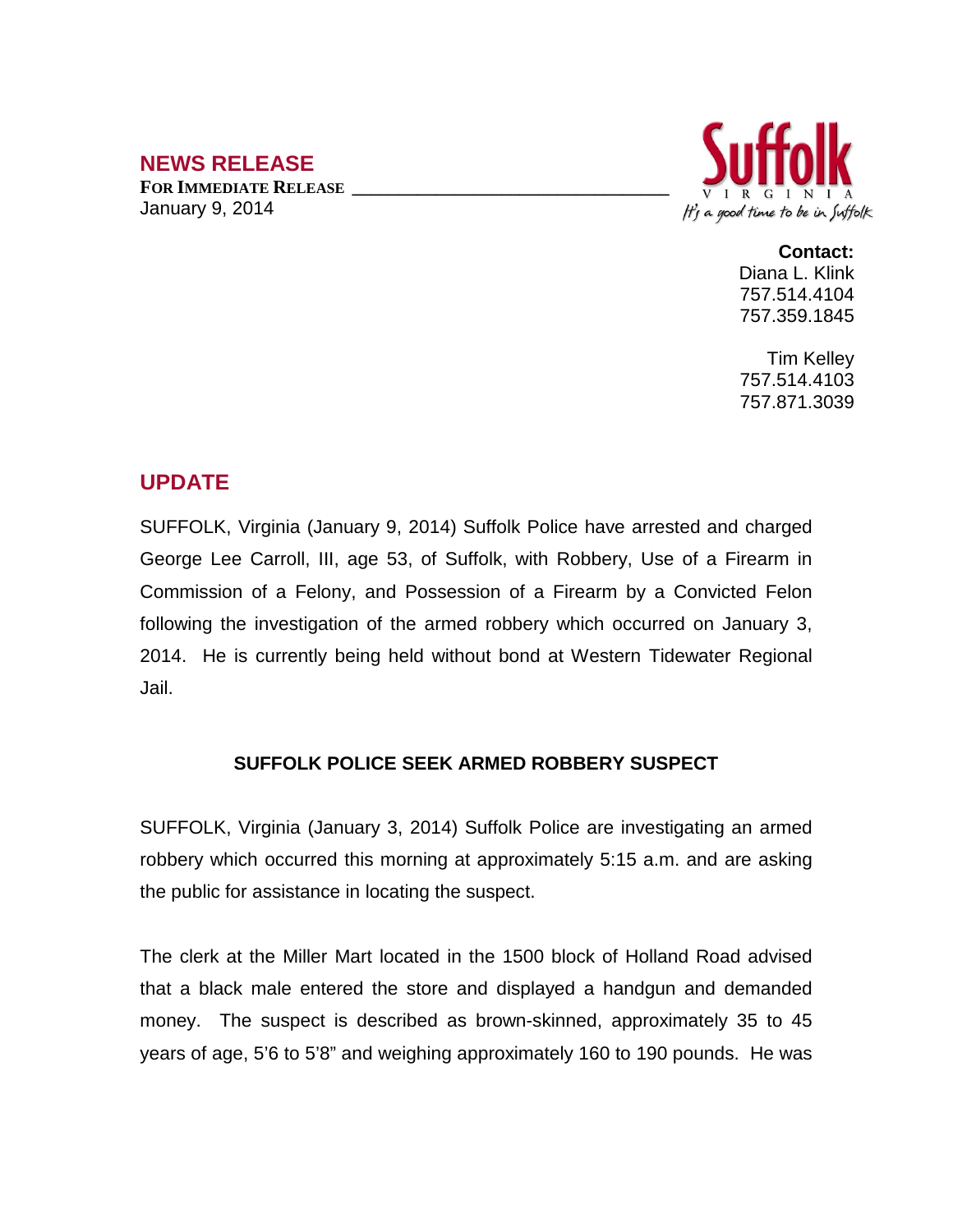## **NEWS RELEASE**

**FOR IMMEDIATE RELEASE \_\_\_\_\_\_\_\_\_\_\_\_\_\_\_\_\_\_\_\_\_\_\_\_\_\_\_\_\_\_\_\_\_\_** January 9, 2014



**Contact:**

Diana L. Klink 757.514.4104 757.359.1845

Tim Kelley 757.514.4103 757.871.3039

## **UPDATE**

SUFFOLK, Virginia (January 9, 2014) Suffolk Police have arrested and charged George Lee Carroll, III, age 53, of Suffolk, with Robbery, Use of a Firearm in Commission of a Felony, and Possession of a Firearm by a Convicted Felon following the investigation of the armed robbery which occurred on January 3, 2014. He is currently being held without bond at Western Tidewater Regional Jail.

## **SUFFOLK POLICE SEEK ARMED ROBBERY SUSPECT**

SUFFOLK, Virginia (January 3, 2014) Suffolk Police are investigating an armed robbery which occurred this morning at approximately 5:15 a.m. and are asking the public for assistance in locating the suspect.

The clerk at the Miller Mart located in the 1500 block of Holland Road advised that a black male entered the store and displayed a handgun and demanded money. The suspect is described as brown-skinned, approximately 35 to 45 years of age, 5'6 to 5'8" and weighing approximately 160 to 190 pounds. He was